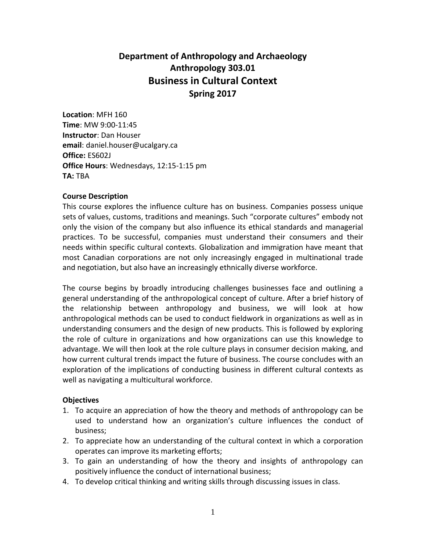# **Department of Anthropology and Archaeology Anthropology 303.01 Business in Cultural Context Spring 2017**

**Location**: MFH 160 **Time**: MW 9:00-11:45 **Instructor**: Dan Houser **email**: daniel.houser@ucalgary.ca **Office:** ES602J **Office Hours**: Wednesdays, 12:15-1:15 pm **TA:** TBA

#### **Course Description**

This course explores the influence culture has on business. Companies possess unique sets of values, customs, traditions and meanings. Such "corporate cultures" embody not only the vision of the company but also influence its ethical standards and managerial practices. To be successful, companies must understand their consumers and their needs within specific cultural contexts. Globalization and immigration have meant that most Canadian corporations are not only increasingly engaged in multinational trade and negotiation, but also have an increasingly ethnically diverse workforce.

The course begins by broadly introducing challenges businesses face and outlining a general understanding of the anthropological concept of culture. After a brief history of the relationship between anthropology and business, we will look at how anthropological methods can be used to conduct fieldwork in organizations as well as in understanding consumers and the design of new products. This is followed by exploring the role of culture in organizations and how organizations can use this knowledge to advantage. We will then look at the role culture plays in consumer decision making, and how current cultural trends impact the future of business. The course concludes with an exploration of the implications of conducting business in different cultural contexts as well as navigating a multicultural workforce.

#### **Objectives**

- 1. To acquire an appreciation of how the theory and methods of anthropology can be used to understand how an organization's culture influences the conduct of business;
- 2. To appreciate how an understanding of the cultural context in which a corporation operates can improve its marketing efforts;
- 3. To gain an understanding of how the theory and insights of anthropology can positively influence the conduct of international business;
- 4. To develop critical thinking and writing skills through discussing issues in class.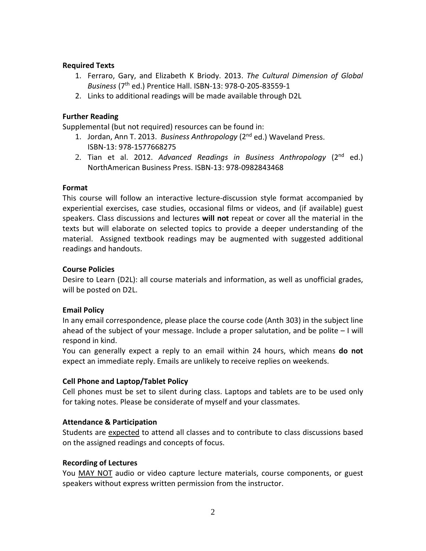### **Required Texts**

- 1. Ferraro, Gary, and Elizabeth K Briody. 2013. *The Cultural Dimension of Global Business* (7th ed.) Prentice Hall. ISBN-13: 978-0-205-83559-1
- 2. Links to additional readings will be made available through D2L

# **Further Reading**

Supplemental (but not required) resources can be found in:

- 1. Jordan, Ann T. 2013. *Business Anthropology* (2nd ed.) Waveland Press. ISBN-13: 978-1577668275
- 2. Tian et al. 2012. *Advanced Readings in Business Anthropology* (2nd ed.) NorthAmerican Business Press. ISBN-13: 978-0982843468

# **Format**

This course will follow an interactive lecture-discussion style format accompanied by experiential exercises, case studies, occasional films or videos, and (if available) guest speakers. Class discussions and lectures **will not** repeat or cover all the material in the texts but will elaborate on selected topics to provide a deeper understanding of the material. Assigned textbook readings may be augmented with suggested additional readings and handouts.

# **Course Policies**

Desire to Learn (D2L): all course materials and information, as well as unofficial grades, will be posted on D2L.

# **Email Policy**

In any email correspondence, please place the course code (Anth 303) in the subject line ahead of the subject of your message. Include a proper salutation, and be polite – I will respond in kind.

You can generally expect a reply to an email within 24 hours, which means **do not** expect an immediate reply. Emails are unlikely to receive replies on weekends.

# **Cell Phone and Laptop/Tablet Policy**

Cell phones must be set to silent during class. Laptops and tablets are to be used only for taking notes. Please be considerate of myself and your classmates.

# **Attendance & Participation**

Students are expected to attend all classes and to contribute to class discussions based on the assigned readings and concepts of focus.

# **Recording of Lectures**

You MAY NOT audio or video capture lecture materials, course components, or guest speakers without express written permission from the instructor.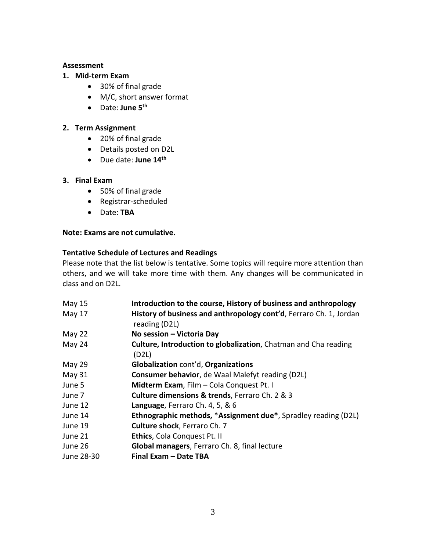#### **Assessment**

### **1. Mid-term Exam**

- 30% of final grade
- M/C, short answer format
- Date: **June 5th**

## **2. Term Assignment**

- 20% of final grade
- Details posted on D2L
- Due date: **June 14th**

# **3. Final Exam**

- 50% of final grade
- Registrar-scheduled
- Date: **TBA**

## **Note: Exams are not cumulative.**

## **Tentative Schedule of Lectures and Readings**

Please note that the list below is tentative. Some topics will require more attention than others, and we will take more time with them. Any changes will be communicated in class and on D2L.

| May 15     | Introduction to the course, History of business and anthropology                    |
|------------|-------------------------------------------------------------------------------------|
| May 17     | History of business and anthropology cont'd, Ferraro Ch. 1, Jordan<br>reading (D2L) |
| May 22     | No session - Victoria Day                                                           |
| May 24     | <b>Culture, Introduction to globalization</b> , Chatman and Cha reading<br>(D2L)    |
| May 29     | Globalization cont'd, Organizations                                                 |
| May 31     | Consumer behavior, de Waal Malefyt reading (D2L)                                    |
| June 5     | Midterm Exam, Film - Cola Conquest Pt. I                                            |
| June 7     | Culture dimensions & trends, Ferraro Ch. 2 & 3                                      |
| June 12    | Language, Ferraro Ch. 4, 5, & 6                                                     |
| June 14    | <b>Ethnographic methods, *Assignment due*, Spradley reading (D2L)</b>               |
| June 19    | <b>Culture shock, Ferraro Ch. 7</b>                                                 |
| June 21    | Ethics, Cola Conquest Pt. II                                                        |
| June 26    | Global managers, Ferraro Ch. 8, final lecture                                       |
| June 28-30 | Final Exam - Date TBA                                                               |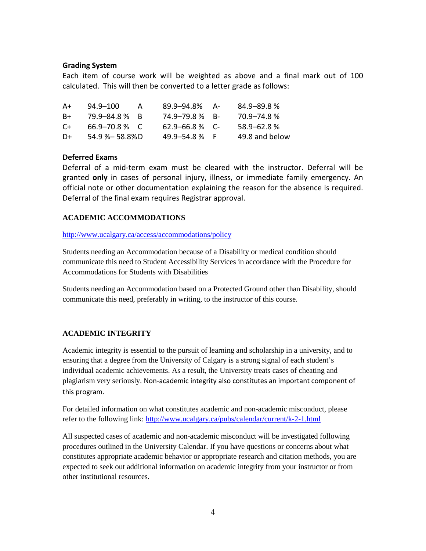#### **Grading System**

Each item of course work will be weighted as above and a final mark out of 100 calculated. This will then be converted to a letter grade as follows:

| A+   | 94.9-100           | А | 89.9–94.8%          | - A – | 84.9–89.8%      |
|------|--------------------|---|---------------------|-------|-----------------|
| B+   | 79.9–84.8 % B      |   | 74.9–79.8 % B-      |       | 70.9–74.8%      |
| $C+$ | 66.9–70.8 % C      |   | $62.9 - 66.8 \%$ C- |       | $58.9 - 62.8$ % |
| D+   | $54.9 % - 58.8%$ D |   | 49.9–54.8 %F        |       | 49.8 and below  |

#### **Deferred Exams**

Deferral of a mid-term exam must be cleared with the instructor. Deferral will be granted **only** in cases of personal injury, illness, or immediate family emergency. An official note or other documentation explaining the reason for the absence is required. Deferral of the final exam requires Registrar approval.

## **ACADEMIC ACCOMMODATIONS**

<http://www.ucalgary.ca/access/accommodations/policy>

Students needing an Accommodation because of a Disability or medical condition should communicate this need to Student Accessibility Services in accordance with the Procedure for Accommodations for Students with Disabilities

Students needing an Accommodation based on a Protected Ground other than Disability, should communicate this need, preferably in writing, to the instructor of this course.

#### **ACADEMIC INTEGRITY**

Academic integrity is essential to the pursuit of learning and scholarship in a university, and to ensuring that a degree from the University of Calgary is a strong signal of each student's individual academic achievements. As a result, the University treats cases of cheating and plagiarism very seriously. Non-academic integrity also constitutes an important component of this program.

For detailed information on what constitutes academic and non-academic misconduct, please refer to the following link:<http://www.ucalgary.ca/pubs/calendar/current/k-2-1.html>

All suspected cases of academic and non-academic misconduct will be investigated following procedures outlined in the University Calendar. If you have questions or concerns about what constitutes appropriate academic behavior or appropriate research and citation methods, you are expected to seek out additional information on academic integrity from your instructor or from other institutional resources.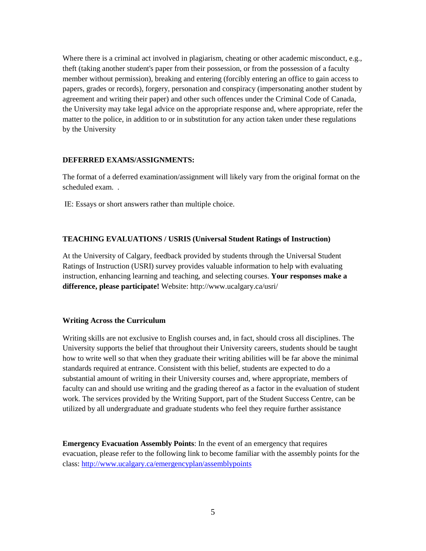Where there is a criminal act involved in plagiarism, cheating or other academic misconduct, e.g., theft (taking another student's paper from their possession, or from the possession of a faculty member without permission), breaking and entering (forcibly entering an office to gain access to papers, grades or records), forgery, personation and conspiracy (impersonating another student by agreement and writing their paper) and other such offences under the Criminal Code of Canada, the University may take legal advice on the appropriate response and, where appropriate, refer the matter to the police, in addition to or in substitution for any action taken under these regulations by the University

#### **DEFERRED EXAMS/ASSIGNMENTS:**

The format of a deferred examination/assignment will likely vary from the original format on the scheduled exam. .

IE: Essays or short answers rather than multiple choice.

#### **TEACHING EVALUATIONS / USRIS (Universal Student Ratings of Instruction)**

At the University of Calgary, feedback provided by students through the Universal Student Ratings of Instruction (USRI) survey provides valuable information to help with evaluating instruction, enhancing learning and teaching, and selecting courses. **Your responses make a difference, please participate!** Website: http://www.ucalgary.ca/usri/

#### **Writing Across the Curriculum**

Writing skills are not exclusive to English courses and, in fact, should cross all disciplines. The University supports the belief that throughout their University careers, students should be taught how to write well so that when they graduate their writing abilities will be far above the minimal standards required at entrance. Consistent with this belief, students are expected to do a substantial amount of writing in their University courses and, where appropriate, members of faculty can and should use writing and the grading thereof as a factor in the evaluation of student work. The services provided by the Writing Support, part of the Student Success Centre, can be utilized by all undergraduate and graduate students who feel they require further assistance

**Emergency Evacuation Assembly Points**: In the event of an emergency that requires evacuation, please refer to the following link to become familiar with the assembly points for the class:<http://www.ucalgary.ca/emergencyplan/assemblypoints>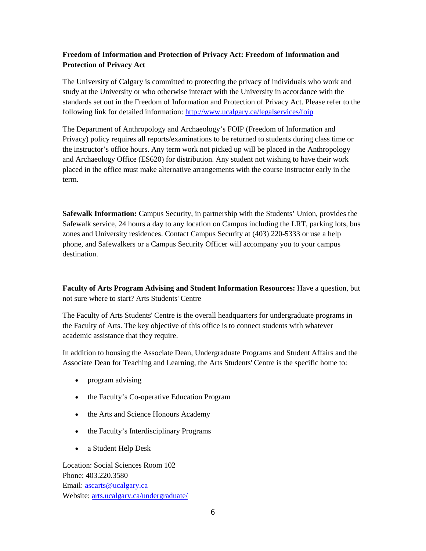## **Freedom of Information and Protection of Privacy Act: Freedom of Information and Protection of Privacy Act**

The University of Calgary is committed to protecting the privacy of individuals who work and study at the University or who otherwise interact with the University in accordance with the standards set out in the Freedom of Information and Protection of Privacy Act. Please refer to the following link for detailed information:<http://www.ucalgary.ca/legalservices/foip>

The Department of Anthropology and Archaeology's FOIP (Freedom of Information and Privacy) policy requires all reports/examinations to be returned to students during class time or the instructor's office hours. Any term work not picked up will be placed in the Anthropology and Archaeology Office (ES620) for distribution. Any student not wishing to have their work placed in the office must make alternative arrangements with the course instructor early in the term.

**Safewalk Information:** Campus Security, in partnership with the Students' Union, provides the Safewalk service, 24 hours a day to any location on Campus including the LRT, parking lots, bus zones and University residences. Contact Campus Security at (403) 220-5333 or use a help phone, and Safewalkers or a Campus Security Officer will accompany you to your campus destination.

**Faculty of Arts Program Advising and Student Information Resources:** Have a question, but not sure where to start? Arts Students' Centre

The Faculty of Arts Students' Centre is the overall headquarters for undergraduate programs in the Faculty of Arts. The key objective of this office is to connect students with whatever academic assistance that they require.

In addition to housing the Associate Dean, Undergraduate Programs and Student Affairs and the Associate Dean for Teaching and Learning, the Arts Students' Centre is the specific home to:

- program advising
- the Faculty's Co-operative Education Program
- the Arts and Science Honours Academy
- the Faculty's Interdisciplinary Programs
- a Student Help Desk

Location: Social Sciences Room 102 Phone: 403.220.3580 Email: [ascarts@ucalgary.ca](http://ucalgary.ca/pubs/calendar/current/ascarts@ucalgary.ca) Website: [arts.ucalgary.ca/undergraduate/](http://arts.ucalgary.ca/undergraduate/)